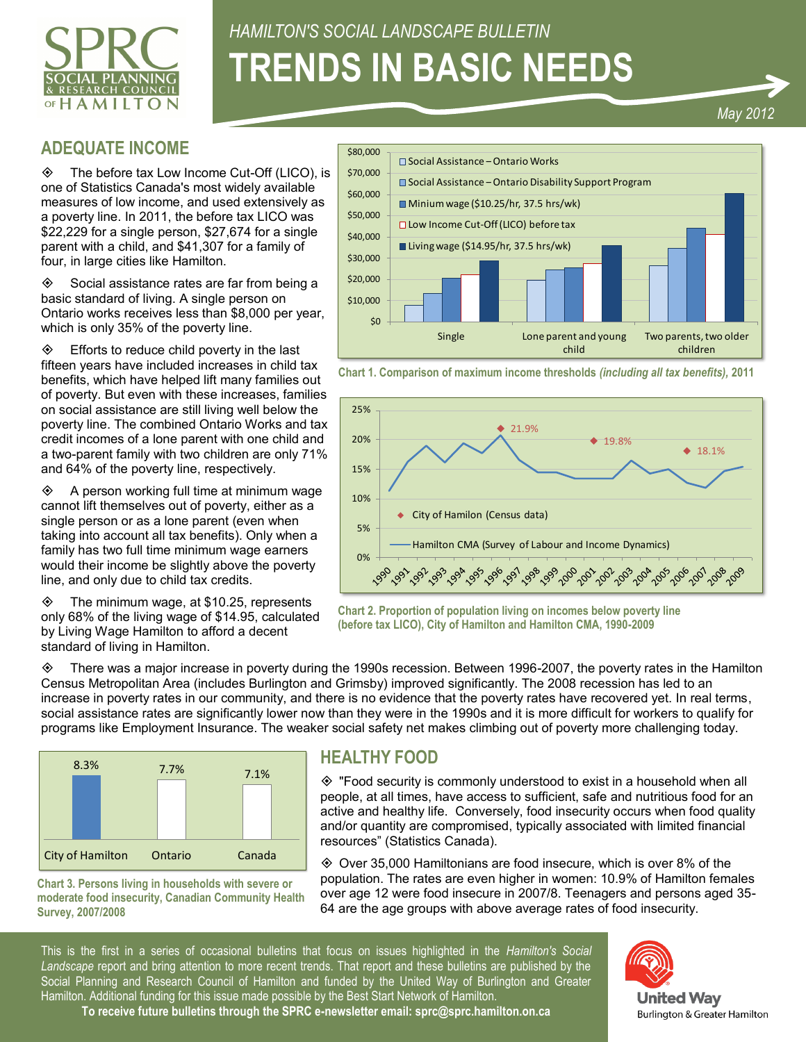

# *HAMILTON'S SOCIAL LANDSCAPE BULLETIN* **TRENDS IN BASIC NEEDS**

#### *May 2012*

## **ADEQUATE INCOME**

 The before tax Low Income Cut-Off (LICO), is one of Statistics Canada's most widely available measures of low income, and used extensively as a poverty line. In 2011, the before tax LICO was \$22,229 for a single person, \$27,674 for a single parent with a child, and \$41,307 for a family of four, in large cities like Hamilton.

 $\diamond$  Social assistance rates are far from being a basic standard of living. A single person on Ontario works receives less than \$8,000 per year, which is only 35% of the poverty line.

 $\Diamond$  Efforts to reduce child poverty in the last fifteen years have included increases in child tax benefits, which have helped lift many families out of poverty. But even with these increases, families on social assistance are still living well below the poverty line. The combined Ontario Works and tax credit incomes of a lone parent with one child and a two-parent family with two children are only 71% and 64% of the poverty line, respectively. Which is only 35% of the poverty line.<br>
Somethics is only 35% of the poverty line.<br>
Trifteen years have included increases in child ax<br>
Cheart 1. Concert State increases and hill ax<br>
Cheart 1. The combined Duration View ch

 A person working full time at minimum wage cannot lift themselves out of poverty, either as a single person or as a lone parent (even when taking into account all tax benefits). Only when a family has two full time minimum wage earners would their income be slightly above the poverty line, and only due to child tax credits.

 $\diamond$  The minimum wage, at \$10.25, represents only 68% of the living wage of \$14.95, calculated by Living Wage Hamilton to afford a decent standard of living in Hamilton.



**Chart 1. Comparison of maximum income thresholds** *(including all tax benefits),* **2011**



**Chart 2. Proportion of population living on incomes below poverty line (before tax LICO), City of Hamilton and Hamilton CMA, 1990-2009**

 $\Diamond$  There was a major increase in poverty during the 1990s recession. Between 1996-2007, the poverty rates in the Hamilton Census Metropolitan Area (includes Burlington and Grimsby) improved significantly. The 2008 recession has led to an increase in poverty rates in our community, and there is no evidence that the poverty rates have recovered yet. In real terms, social assistance rates are significantly lower now than they were in the 1990s and it is more difficult for workers to qualify for programs like Employment Insurance. The weaker social safety net makes climbing out of poverty more challenging today.



**Chart 3. Persons living in households with severe or moderate food insecurity, Canadian Community Health Survey, 2007/2008**

## **HEALTHY FOOD**

 "Food security is commonly understood to exist in a household when all people, at all times, have access to sufficient, safe and nutritious food for an active and healthy life. Conversely, food insecurity occurs when food quality and/or quantity are compromised, typically associated with limited financial resources" (Statistics Canada).

 Over 35,000 Hamiltonians are food insecure, which is over 8% of the population. The rates are even higher in women: 10.9% of Hamilton females over age 12 were food insecure in 2007/8. Teenagers and persons aged 35- 64 are the age groups with above average rates of food insecurity.

This is the first in a series of occasional bulletins that focus on issues highlighted in the *Hamilton's Social Landscape* report and bring attention to more recent trends. That report and these bulletins are published by the Social Planning and Research Council of Hamilton and funded by the United Way of Burlington and Greater Hamilton. Additional funding for this issue made possible by the Best Start Network of Hamilton.



**To receive future bulletins through the SPRC e-newsletter email: sprc@sprc.hamilton.on.ca**